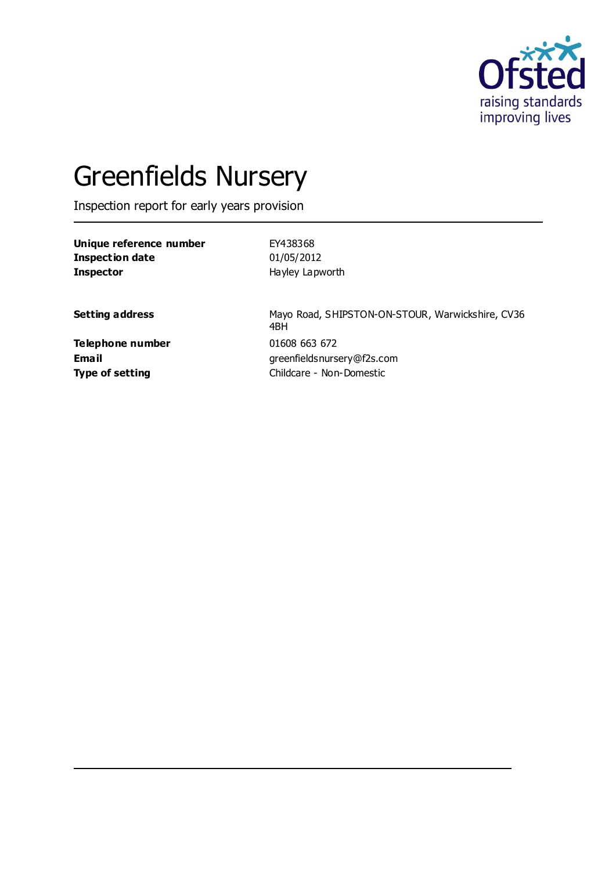

# Greenfields Nursery

Inspection report for early years provision

**Unique reference number** EY438368 **Inspection date** 01/05/2012 **Inspector** Hayley Lapworth

Setting address **Setting address** Mayo Road, SHIPSTON-ON-STOUR, Warwickshire, CV36 4BH **Email** greenfieldsnursery@f2s.com **Type of setting** Childcare - Non-Domestic

**Telephone number** 01608 663 672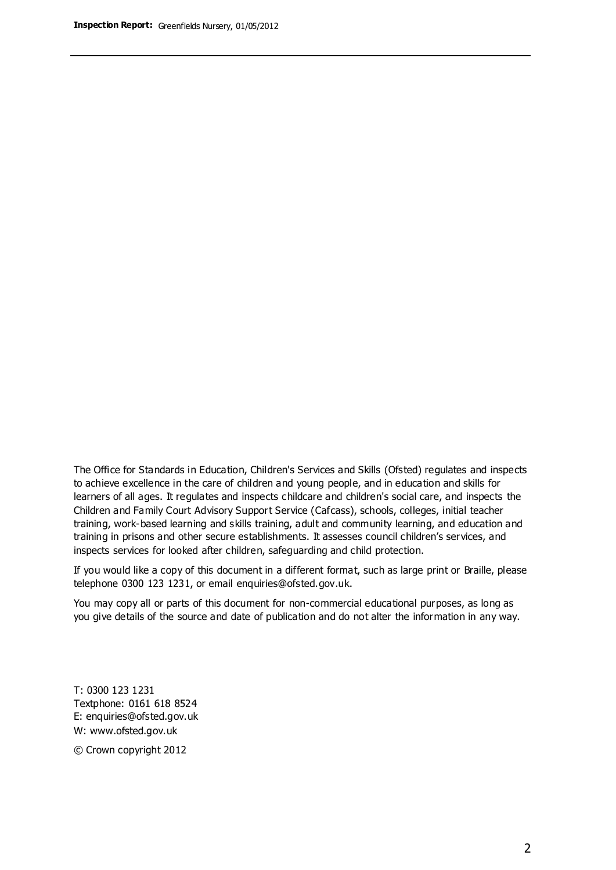The Office for Standards in Education, Children's Services and Skills (Ofsted) regulates and inspects to achieve excellence in the care of children and young people, and in education and skills for learners of all ages. It regulates and inspects childcare and children's social care, and inspects the Children and Family Court Advisory Support Service (Cafcass), schools, colleges, initial teacher training, work-based learning and skills training, adult and community learning, and education and training in prisons and other secure establishments. It assesses council children's services, and inspects services for looked after children, safeguarding and child protection.

If you would like a copy of this document in a different format, such as large print or Braille, please telephone 0300 123 1231, or email enquiries@ofsted.gov.uk.

You may copy all or parts of this document for non-commercial educational purposes, as long as you give details of the source and date of publication and do not alter the information in any way.

T: 0300 123 1231 Textphone: 0161 618 8524 E: enquiries@ofsted.gov.uk W: [www.ofsted.gov.uk](http://www.ofsted.gov.uk/)

© Crown copyright 2012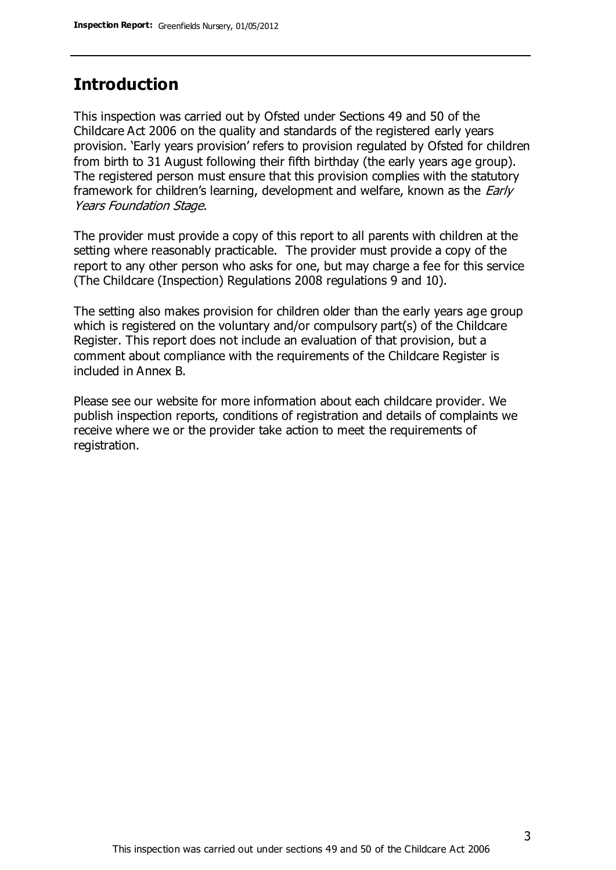## **Introduction**

This inspection was carried out by Ofsted under Sections 49 and 50 of the Childcare Act 2006 on the quality and standards of the registered early years provision. 'Early years provision' refers to provision regulated by Ofsted for children from birth to 31 August following their fifth birthday (the early years age group). The registered person must ensure that this provision complies with the statutory framework for children's learning, development and welfare, known as the *Early* Years Foundation Stage.

The provider must provide a copy of this report to all parents with children at the setting where reasonably practicable. The provider must provide a copy of the report to any other person who asks for one, but may charge a fee for this service (The Childcare (Inspection) Regulations 2008 regulations 9 and 10).

The setting also makes provision for children older than the early years age group which is registered on the voluntary and/or compulsory part(s) of the Childcare Register. This report does not include an evaluation of that provision, but a comment about compliance with the requirements of the Childcare Register is included in Annex B.

Please see our website for more information about each childcare provider. We publish inspection reports, conditions of registration and details of complaints we receive where we or the provider take action to meet the requirements of registration.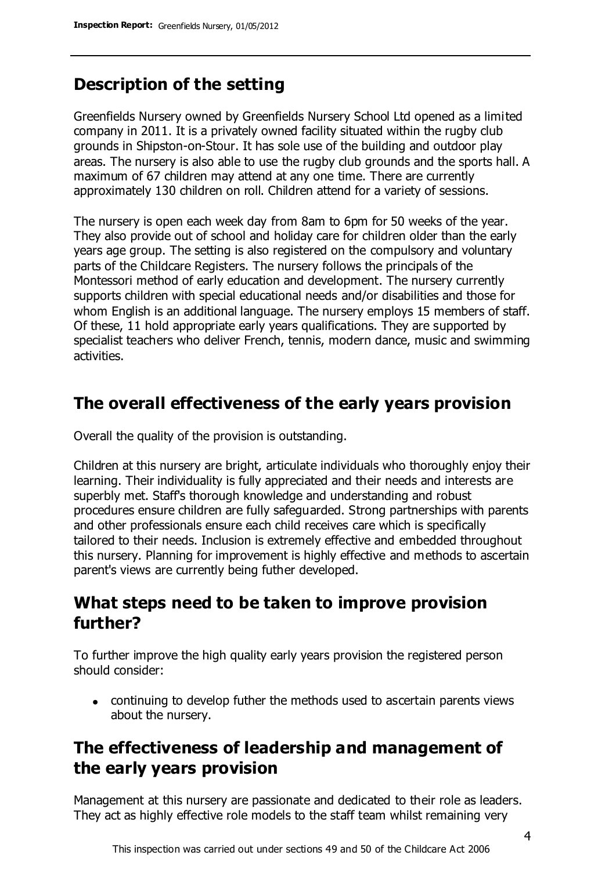# **Description of the setting**

Greenfields Nursery owned by Greenfields Nursery School Ltd opened as a limited company in 2011. It is a privately owned facility situated within the rugby club grounds in Shipston-on-Stour. It has sole use of the building and outdoor play areas. The nursery is also able to use the rugby club grounds and the sports hall. A maximum of 67 children may attend at any one time. There are currently approximately 130 children on roll. Children attend for a variety of sessions.

The nursery is open each week day from 8am to 6pm for 50 weeks of the year. They also provide out of school and holiday care for children older than the early years age group. The setting is also registered on the compulsory and voluntary parts of the Childcare Registers. The nursery follows the principals of the Montessori method of early education and development. The nursery currently supports children with special educational needs and/or disabilities and those for whom English is an additional language. The nursery employs 15 members of staff. Of these, 11 hold appropriate early years qualifications. They are supported by specialist teachers who deliver French, tennis, modern dance, music and swimming activities.

## **The overall effectiveness of the early years provision**

Overall the quality of the provision is outstanding.

Children at this nursery are bright, articulate individuals who thoroughly enjoy their learning. Their individuality is fully appreciated and their needs and interests are superbly met. Staff's thorough knowledge and understanding and robust procedures ensure children are fully safeguarded. Strong partnerships with parents and other professionals ensure each child receives care which is specifically tailored to their needs. Inclusion is extremely effective and embedded throughout this nursery. Planning for improvement is highly effective and methods to ascertain parent's views are currently being futher developed.

## **What steps need to be taken to improve provision further?**

To further improve the high quality early years provision the registered person should consider:

continuing to develop futher the methods used to ascertain parents views about the nursery.

# **The effectiveness of leadership and management of the early years provision**

Management at this nursery are passionate and dedicated to their role as leaders. They act as highly effective role models to the staff team whilst remaining very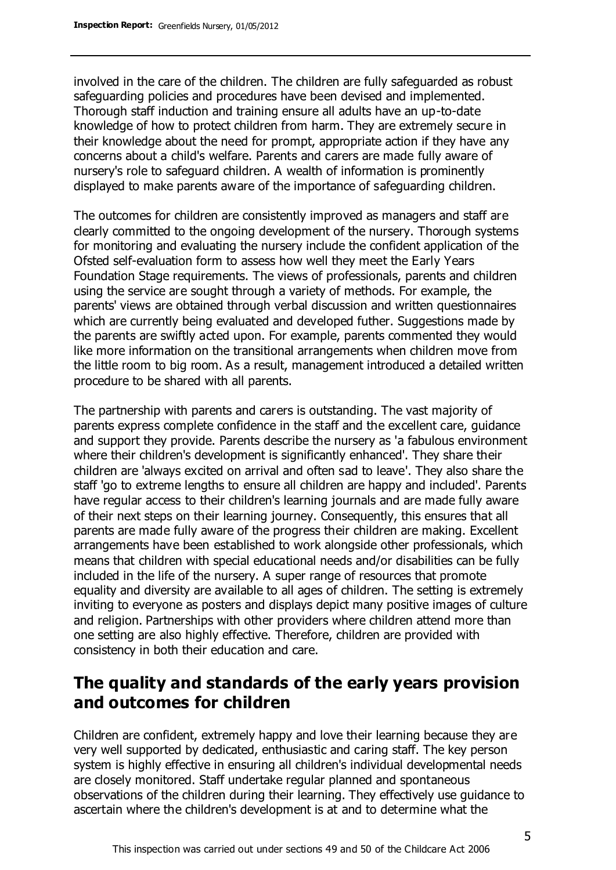involved in the care of the children. The children are fully safeguarded as robust safeguarding policies and procedures have been devised and implemented. Thorough staff induction and training ensure all adults have an up-to-date knowledge of how to protect children from harm. They are extremely secure in their knowledge about the need for prompt, appropriate action if they have any concerns about a child's welfare. Parents and carers are made fully aware of nursery's role to safeguard children. A wealth of information is prominently displayed to make parents aware of the importance of safeguarding children.

The outcomes for children are consistently improved as managers and staff are clearly committed to the ongoing development of the nursery. Thorough systems for monitoring and evaluating the nursery include the confident application of the Ofsted self-evaluation form to assess how well they meet the Early Years Foundation Stage requirements. The views of professionals, parents and children using the service are sought through a variety of methods. For example, the parents' views are obtained through verbal discussion and written questionnaires which are currently being evaluated and developed futher. Suggestions made by the parents are swiftly acted upon. For example, parents commented they would like more information on the transitional arrangements when children move from the little room to big room. As a result, management introduced a detailed written procedure to be shared with all parents.

The partnership with parents and carers is outstanding. The vast majority of parents express complete confidence in the staff and the excellent care, guidance and support they provide. Parents describe the nursery as 'a fabulous environment where their children's development is significantly enhanced'. They share their children are 'always excited on arrival and often sad to leave'. They also share the staff 'go to extreme lengths to ensure all children are happy and included'. Parents have regular access to their children's learning journals and are made fully aware of their next steps on their learning journey. Consequently, this ensures that all parents are made fully aware of the progress their children are making. Excellent arrangements have been established to work alongside other professionals, which means that children with special educational needs and/or disabilities can be fully included in the life of the nursery. A super range of resources that promote equality and diversity are available to all ages of children. The setting is extremely inviting to everyone as posters and displays depict many positive images of culture and religion. Partnerships with other providers where children attend more than one setting are also highly effective. Therefore, children are provided with consistency in both their education and care.

# **The quality and standards of the early years provision and outcomes for children**

Children are confident, extremely happy and love their learning because they are very well supported by dedicated, enthusiastic and caring staff. The key person system is highly effective in ensuring all children's individual developmental needs are closely monitored. Staff undertake regular planned and spontaneous observations of the children during their learning. They effectively use guidance to ascertain where the children's development is at and to determine what the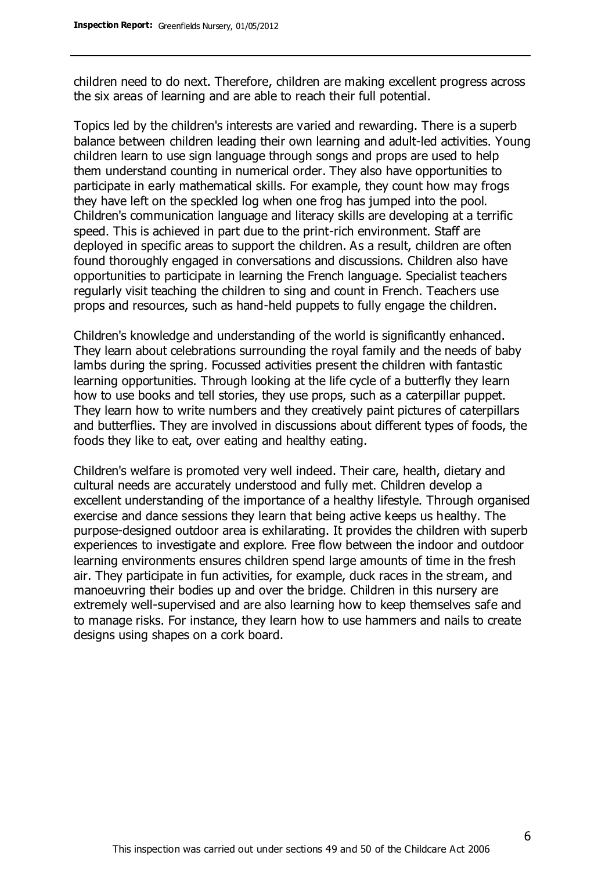children need to do next. Therefore, children are making excellent progress across the six areas of learning and are able to reach their full potential.

Topics led by the children's interests are varied and rewarding. There is a superb balance between children leading their own learning and adult-led activities. Young children learn to use sign language through songs and props are used to help them understand counting in numerical order. They also have opportunities to participate in early mathematical skills. For example, they count how may frogs they have left on the speckled log when one frog has jumped into the pool. Children's communication language and literacy skills are developing at a terrific speed. This is achieved in part due to the print-rich environment. Staff are deployed in specific areas to support the children. As a result, children are often found thoroughly engaged in conversations and discussions. Children also have opportunities to participate in learning the French language. Specialist teachers regularly visit teaching the children to sing and count in French. Teachers use props and resources, such as hand-held puppets to fully engage the children.

Children's knowledge and understanding of the world is significantly enhanced. They learn about celebrations surrounding the royal family and the needs of baby lambs during the spring. Focussed activities present the children with fantastic learning opportunities. Through looking at the life cycle of a butterfly they learn how to use books and tell stories, they use props, such as a caterpillar puppet. They learn how to write numbers and they creatively paint pictures of caterpillars and butterflies. They are involved in discussions about different types of foods, the foods they like to eat, over eating and healthy eating.

Children's welfare is promoted very well indeed. Their care, health, dietary and cultural needs are accurately understood and fully met. Children develop a excellent understanding of the importance of a healthy lifestyle. Through organised exercise and dance sessions they learn that being active keeps us healthy. The purpose-designed outdoor area is exhilarating. It provides the children with superb experiences to investigate and explore. Free flow between the indoor and outdoor learning environments ensures children spend large amounts of time in the fresh air. They participate in fun activities, for example, duck races in the stream, and manoeuvring their bodies up and over the bridge. Children in this nursery are extremely well-supervised and are also learning how to keep themselves safe and to manage risks. For instance, they learn how to use hammers and nails to create designs using shapes on a cork board.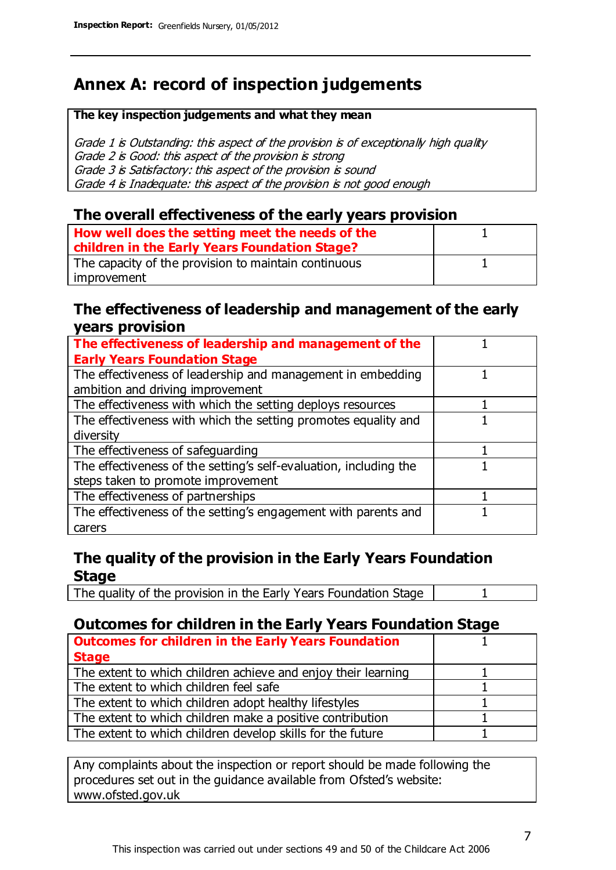# **Annex A: record of inspection judgements**

#### **The key inspection judgements and what they mean**

Grade 1 is Outstanding: this aspect of the provision is of exceptionally high quality Grade 2 is Good: this aspect of the provision is strong Grade 3 is Satisfactory: this aspect of the provision is sound Grade 4 is Inadequate: this aspect of the provision is not good enough

### **The overall effectiveness of the early years provision**

| How well does the setting meet the needs of the<br>children in the Early Years Foundation Stage? |  |
|--------------------------------------------------------------------------------------------------|--|
| The capacity of the provision to maintain continuous                                             |  |
| improvement                                                                                      |  |

#### **The effectiveness of leadership and management of the early years provision**

| The effectiveness of leadership and management of the             |  |
|-------------------------------------------------------------------|--|
| <b>Early Years Foundation Stage</b>                               |  |
| The effectiveness of leadership and management in embedding       |  |
| ambition and driving improvement                                  |  |
| The effectiveness with which the setting deploys resources        |  |
| The effectiveness with which the setting promotes equality and    |  |
| diversity                                                         |  |
| The effectiveness of safeguarding                                 |  |
| The effectiveness of the setting's self-evaluation, including the |  |
| steps taken to promote improvement                                |  |
| The effectiveness of partnerships                                 |  |
| The effectiveness of the setting's engagement with parents and    |  |
| carers                                                            |  |

## **The quality of the provision in the Early Years Foundation Stage**

The quality of the provision in the Early Years Foundation Stage | 1

## **Outcomes for children in the Early Years Foundation Stage**

| <b>Outcomes for children in the Early Years Foundation</b>    |  |
|---------------------------------------------------------------|--|
| <b>Stage</b>                                                  |  |
| The extent to which children achieve and enjoy their learning |  |
| The extent to which children feel safe                        |  |
| The extent to which children adopt healthy lifestyles         |  |
| The extent to which children make a positive contribution     |  |
| The extent to which children develop skills for the future    |  |

Any complaints about the inspection or report should be made following the procedures set out in the guidance available from Ofsted's website: www.ofsted.gov.uk